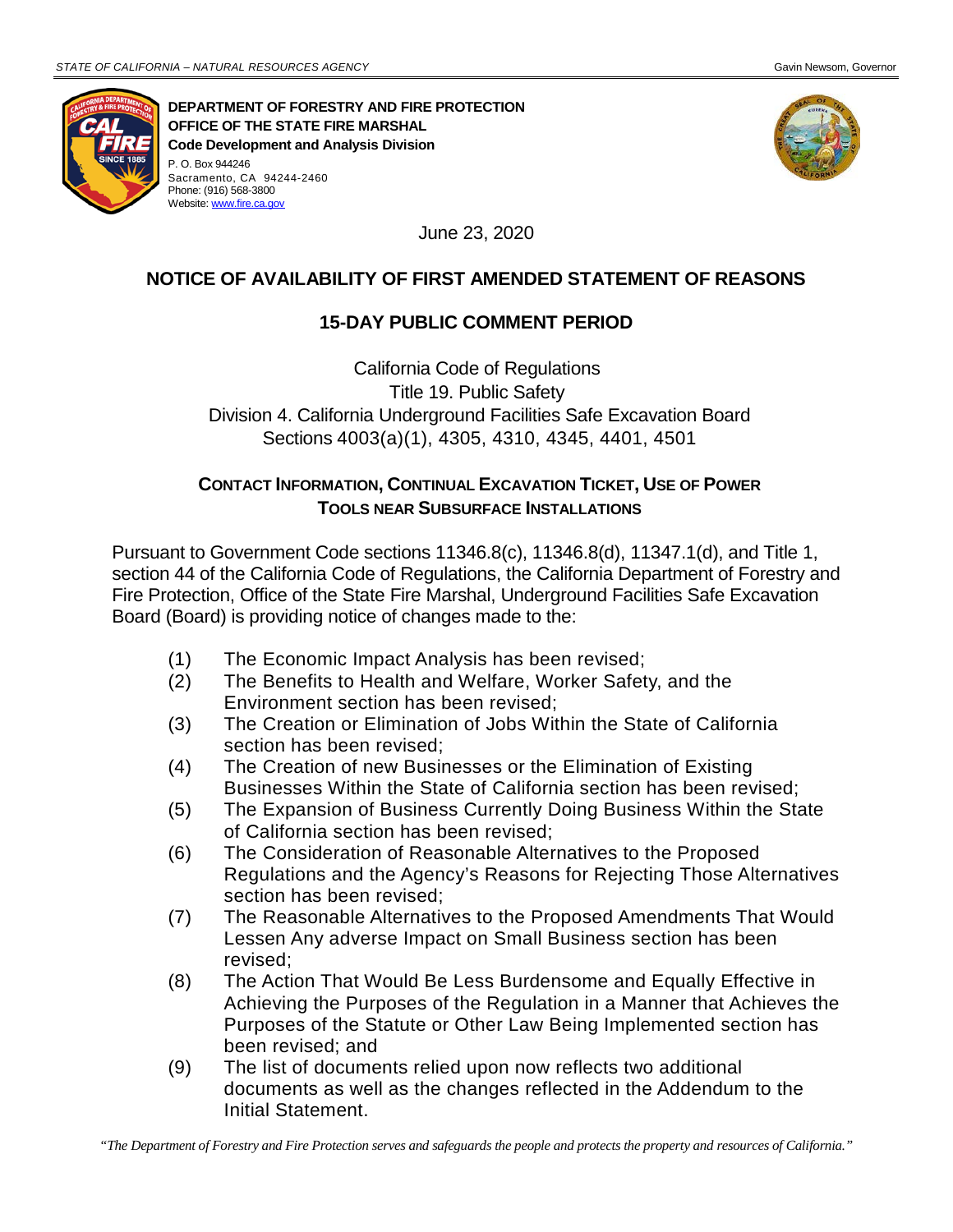Phone: (916) 568-3800 Website[: www.fire.ca.gov](http://www.fire.ca.gov/)



**DEPARTMENT OF FORESTRY AND FIRE PROTECTION OFFICE OF THE STATE FIRE MARSHAL Code Development and Analysis Division** P. O. Box 944246 Sacramento, CA 94244-2460



June 23, 2020

## **NOTICE OF AVAILABILITY OF FIRST AMENDED STATEMENT OF REASONS**

## **15-DAY PUBLIC COMMENT PERIOD**

California Code of Regulations Title 19. Public Safety Division 4. California Underground Facilities Safe Excavation Board Sections 4003(a)(1), 4305, 4310, 4345, 4401, 4501

## **CONTACT INFORMATION, CONTINUAL EXCAVATION TICKET, USE OF POWER TOOLS NEAR SUBSURFACE INSTALLATIONS**

Pursuant to Government Code sections 11346.8(c), 11346.8(d), 11347.1(d), and Title 1, section 44 of the California Code of Regulations, the California Department of Forestry and Fire Protection, Office of the State Fire Marshal, Underground Facilities Safe Excavation Board (Board) is providing notice of changes made to the:

- (1) The Economic Impact Analysis has been revised;
- (2) The Benefits to Health and Welfare, Worker Safety, and the Environment section has been revised;
- (3) The Creation or Elimination of Jobs Within the State of California section has been revised;
- (4) The Creation of new Businesses or the Elimination of Existing Businesses Within the State of California section has been revised;
- (5) The Expansion of Business Currently Doing Business Within the State of California section has been revised;
- (6) The Consideration of Reasonable Alternatives to the Proposed Regulations and the Agency's Reasons for Rejecting Those Alternatives section has been revised;
- (7) The Reasonable Alternatives to the Proposed Amendments That Would Lessen Any adverse Impact on Small Business section has been revised;
- (8) The Action That Would Be Less Burdensome and Equally Effective in Achieving the Purposes of the Regulation in a Manner that Achieves the Purposes of the Statute or Other Law Being Implemented section has been revised; and
- (9) The list of documents relied upon now reflects two additional documents as well as the changes reflected in the Addendum to the Initial Statement.